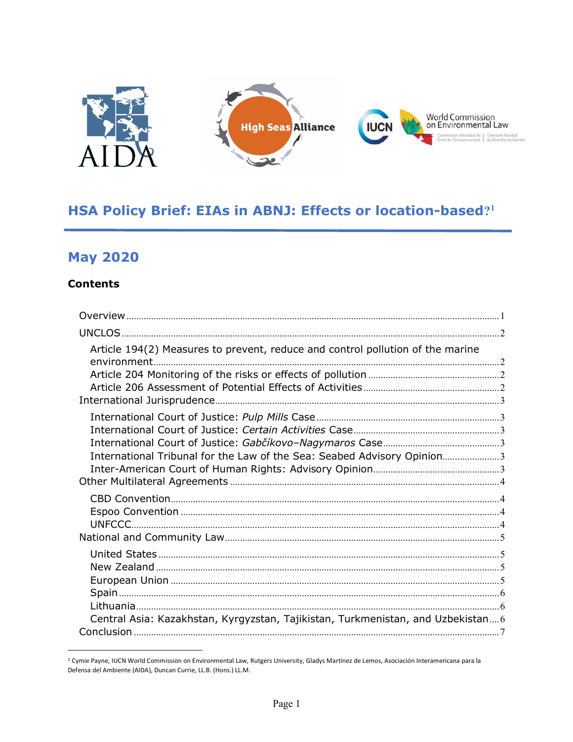

# HSA Policy Brief: EIAs in ABNJ: Effects or location-based?1

# **May 2020**

#### **Contents**

| Article 194(2) Measures to prevent, reduce and control pollution of the marine  |  |
|---------------------------------------------------------------------------------|--|
| International Tribunal for the Law of the Sea: Seabed Advisory Opinion3         |  |
|                                                                                 |  |
| Central Asia: Kazakhstan, Kyrgyzstan, Tajikistan, Turkmenistan, and Uzbekistan6 |  |
|                                                                                 |  |

<sup>&</sup>lt;sup>1</sup> Cymie Payne, IUCN World Commission on Environmental Law, Rutgers University, Gladys Martínez de Lemos, Asociación Interamericana para la Defensa del Ambiente (AIDA), Duncan Currie, LL.B. (Hons.) LL.M.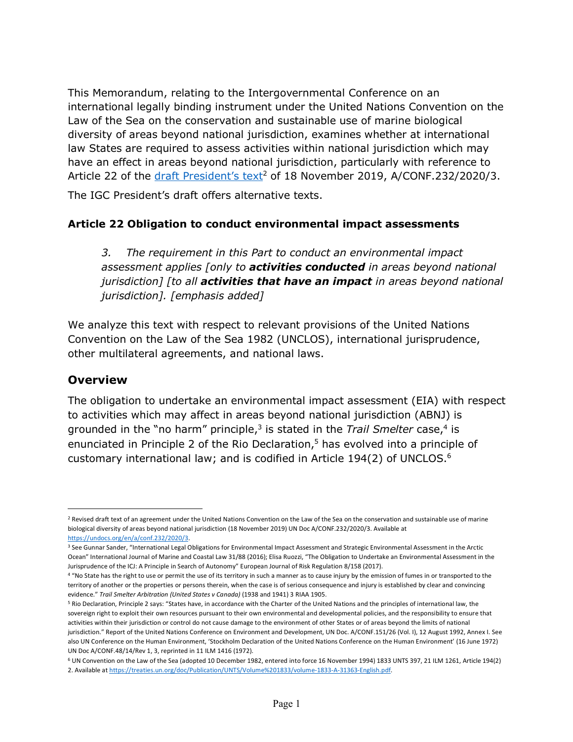This Memorandum, relating to the Intergovernmental Conference on an international legally binding instrument under the United Nations Convention on the Law of the Sea on the conservation and sustainable use of marine biological diversity of areas beyond national jurisdiction, examines whether at international law States are required to assess activities within national jurisdiction which may have an effect in areas beyond national jurisdiction, particularly with reference to Article 22 of the draft President's text<sup>2</sup> of 18 November 2019, A/CONF.232/2020/3.

The IGC President's draft offers alternative texts.

#### **Article 22 Obligation to conduct environmental impact assessments**

*3. The requirement in this Part to conduct an environmental impact assessment applies [only to activities conducted in areas beyond national jurisdiction] [to all activities that have an impact in areas beyond national jurisdiction]. [emphasis added]*

We analyze this text with respect to relevant provisions of the United Nations Convention on the Law of the Sea 1982 (UNCLOS), international jurisprudence, other multilateral agreements, and national laws.

# **Overview**

 $\overline{a}$ 

The obligation to undertake an environmental impact assessment (EIA) with respect to activities which may affect in areas beyond national jurisdiction (ABNJ) is grounded in the "no harm" principle, <sup>3</sup> is stated in the *Trail Smelter* case, <sup>4</sup> is enunciated in Principle 2 of the Rio Declaration, <sup>5</sup> has evolved into a principle of customary international law; and is codified in Article 194(2) of UNCLOS.<sup>6</sup>

<sup>6</sup> UN Convention on the Law of the Sea (adopted 10 December 1982, entered into force 16 November 1994) 1833 UNTS 397, 21 ILM 1261, Article 194(2) 2. Available at https://treaties.un.org/doc/Publication/UNTS/Volume%201833/volume-1833-A-31363-English.pdf.

<sup>&</sup>lt;sup>2</sup> Revised draft text of an agreement under the United Nations Convention on the Law of the Sea on the conservation and sustainable use of marine biological diversity of areas beyond national jurisdiction (18 November 2019) UN Doc A/CONF.232/2020/3. Available at https://undocs.org/en/a/conf.232/2020/3.

<sup>&</sup>lt;sup>3</sup> See Gunnar Sander, "International Legal Obligations for Environmental Impact Assessment and Strategic Environmental Assessment in the Arctic Ocean" International Journal of Marine and Coastal Law 31/88 (2016); Elisa Ruozzi, "The Obligation to Undertake an Environmental Assessment in the Jurisprudence of the ICJ: A Principle in Search of Autonomy" European Journal of Risk Regulation 8/158 (2017).

<sup>4 &</sup>quot;No State has the right to use or permit the use of its territory in such a manner as to cause injury by the emission of fumes in or transported to the territory of another or the properties or persons therein, when the case is of serious consequence and injury is established by clear and convincing evidence." *Trail Smelter Arbitration (United States v Canada)* (1938 and 1941) 3 RIAA 1905.

<sup>5</sup> Rio Declaration, Principle 2 says: "States have, in accordance with the Charter of the United Nations and the principles of international law, the sovereign right to exploit their own resources pursuant to their own environmental and developmental policies, and the responsibility to ensure that activities within their jurisdiction or control do not cause damage to the environment of other States or of areas beyond the limits of national jurisdiction." Report of the United Nations Conference on Environment and Development, UN Doc. A/CONF.151/26 (Vol. I), 12 August 1992, Annex I. See also UN Conference on the Human Environment, 'Stockholm Declaration of the United Nations Conference on the Human Environment' (16 June 1972) UN Doc A/CONF.48/14/Rev 1, 3, reprinted in 11 ILM 1416 (1972).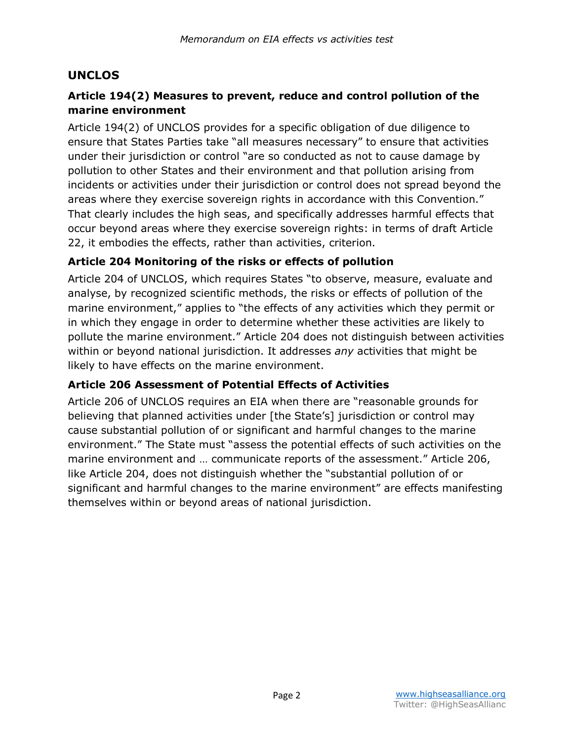# **UNCLOS**

# **Article 194(2) Measures to prevent, reduce and control pollution of the marine environment**

Article 194(2) of UNCLOS provides for a specific obligation of due diligence to ensure that States Parties take "all measures necessary" to ensure that activities under their jurisdiction or control "are so conducted as not to cause damage by pollution to other States and their environment and that pollution arising from incidents or activities under their jurisdiction or control does not spread beyond the areas where they exercise sovereign rights in accordance with this Convention." That clearly includes the high seas, and specifically addresses harmful effects that occur beyond areas where they exercise sovereign rights: in terms of draft Article 22, it embodies the effects, rather than activities, criterion.

#### **Article 204 Monitoring of the risks or effects of pollution**

Article 204 of UNCLOS, which requires States "to observe, measure, evaluate and analyse, by recognized scientific methods, the risks or effects of pollution of the marine environment," applies to "the effects of any activities which they permit or in which they engage in order to determine whether these activities are likely to pollute the marine environment." Article 204 does not distinguish between activities within or beyond national jurisdiction. It addresses *any* activities that might be likely to have effects on the marine environment.

#### **Article 206 Assessment of Potential Effects of Activities**

Article 206 of UNCLOS requires an EIA when there are "reasonable grounds for believing that planned activities under [the State's] jurisdiction or control may cause substantial pollution of or significant and harmful changes to the marine environment." The State must "assess the potential effects of such activities on the marine environment and … communicate reports of the assessment." Article 206, like Article 204, does not distinguish whether the "substantial pollution of or significant and harmful changes to the marine environment" are effects manifesting themselves within or beyond areas of national jurisdiction.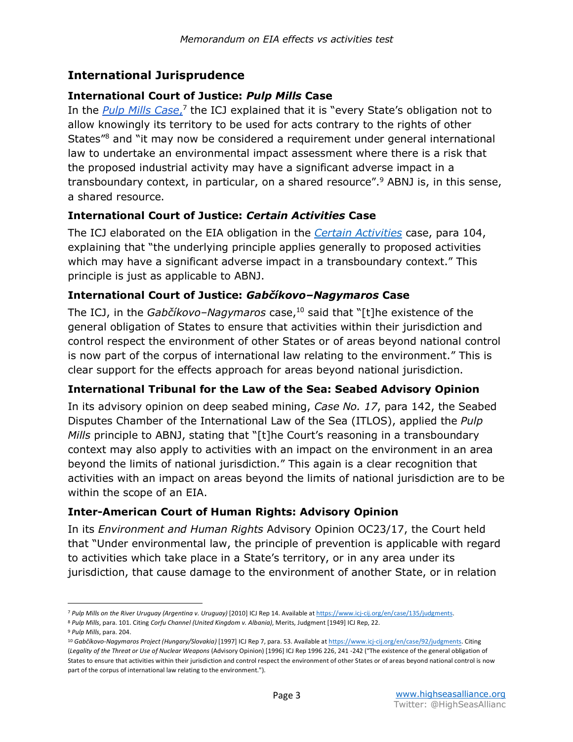#### **International Jurisprudence**

#### **International Court of Justice:** *Pulp Mills* **Case**

In the *Pulp Mills Case*,<sup>7</sup> the ICJ explained that it is "every State's obligation not to allow knowingly its territory to be used for acts contrary to the rights of other States"8 and "it may now be considered a requirement under general international law to undertake an environmental impact assessment where there is a risk that the proposed industrial activity may have a significant adverse impact in a transboundary context, in particular, on a shared resource".9 ABNJ is, in this sense, a shared resource.

#### **International Court of Justice:** *Certain Activities* **Case**

The ICJ elaborated on the EIA obligation in the *Certain Activities* case, para 104, explaining that "the underlying principle applies generally to proposed activities which may have a significant adverse impact in a transboundary context." This principle is just as applicable to ABNJ.

#### **International Court of Justice:** *Gabčíkovo–Nagymaros* **Case**

The ICJ, in the *Gabčíkovo-Nagymaros* case,<sup>10</sup> said that "[t]he existence of the general obligation of States to ensure that activities within their jurisdiction and control respect the environment of other States or of areas beyond national control is now part of the corpus of international law relating to the environment." This is clear support for the effects approach for areas beyond national jurisdiction.

#### **International Tribunal for the Law of the Sea: Seabed Advisory Opinion**

In its advisory opinion on deep seabed mining, *Case No. 17*, para 142, the Seabed Disputes Chamber of the International Law of the Sea (ITLOS), applied the *Pulp Mills* principle to ABNJ, stating that "[t]he Court's reasoning in a transboundary context may also apply to activities with an impact on the environment in an area beyond the limits of national jurisdiction." This again is a clear recognition that activities with an impact on areas beyond the limits of national jurisdiction are to be within the scope of an EIA.

#### **Inter-American Court of Human Rights: Advisory Opinion**

In its *Environment and Human Rights* Advisory Opinion OC23/17, the Court held that "Under environmental law, the principle of prevention is applicable with regard to activities which take place in a State's territory, or in any area under its jurisdiction, that cause damage to the environment of another State, or in relation

 $\overline{a}$ 

<sup>7</sup> *Pulp Mills on the River Uruguay (Argentina v. Uruguay)* [2010] ICJ Rep 14. Available at https://www.icj-cij.org/en/case/135/judgments.

<sup>8</sup> *Pulp Mills*, para. 101. Citing *Corfu Channel (United Kingdom v. Albania)*, Merits, Judgment [1949] ICJ Rep, 22.

<sup>9</sup> *Pulp Mills*, para. 204.

<sup>10</sup> *Gabčíkovo-Nagymaros Project (Hungary/Slovakia)* [1997] ICJ Rep 7, para. 53. Available at https://www.icj-cij.org/en/case/92/judgments. Citing

<sup>(</sup>*Legality of the Threat or Use of Nuclear Weapons* (Advisory Opinion) [1996] ICJ Rep 1996 226, 241 -242 ("The existence of the general obligation of States to ensure that activities within their jurisdiction and control respect the environment of other States or of areas beyond national control is now part of the corpus of international law relating to the environment.").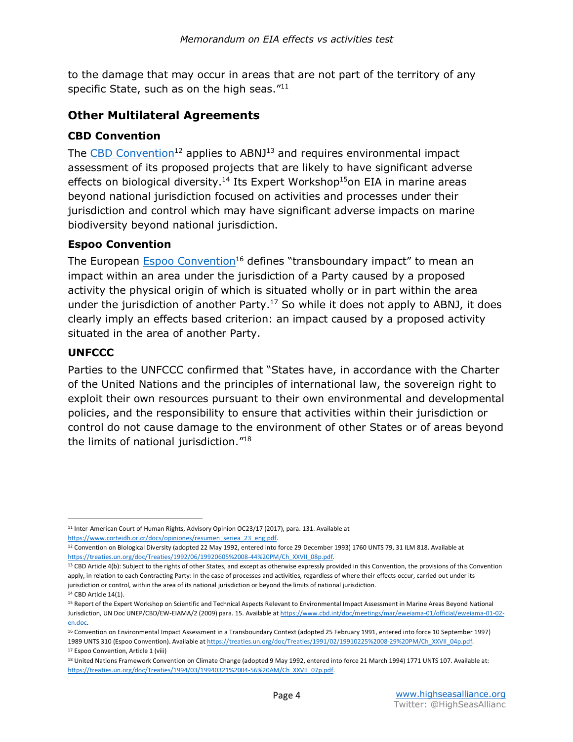to the damage that may occur in areas that are not part of the territory of any specific State, such as on the high seas. $"^{11}$ 

# **Other Multilateral Agreements**

#### **CBD Convention**

The CBD Convention<sup>12</sup> applies to ABNJ<sup>13</sup> and requires environmental impact assessment of its proposed projects that are likely to have significant adverse effects on biological diversity.<sup>14</sup> Its Expert Workshop<sup>15</sup>on EIA in marine areas beyond national jurisdiction focused on activities and processes under their jurisdiction and control which may have significant adverse impacts on marine biodiversity beyond national jurisdiction.

#### **Espoo Convention**

The European Espoo Convention<sup>16</sup> defines "transboundary impact" to mean an impact within an area under the jurisdiction of a Party caused by a proposed activity the physical origin of which is situated wholly or in part within the area under the jurisdiction of another Party.<sup>17</sup> So while it does not apply to ABNJ, it does clearly imply an effects based criterion: an impact caused by a proposed activity situated in the area of another Party.

#### **UNFCCC**

l

Parties to the UNFCCC confirmed that "States have, in accordance with the Charter of the United Nations and the principles of international law, the sovereign right to exploit their own resources pursuant to their own environmental and developmental policies, and the responsibility to ensure that activities within their jurisdiction or control do not cause damage to the environment of other States or of areas beyond the limits of national jurisdiction."18

<sup>11</sup> Inter-American Court of Human Rights, Advisory Opinion OC23/17 (2017), para. 131. Available at https://www.corteidh.or.cr/docs/opiniones/resumen\_seriea\_23\_eng.pdf.

<sup>12</sup> Convention on Biological Diversity (adopted 22 May 1992, entered into force 29 December 1993) 1760 UNTS 79, 31 ILM 818. Available at https://treaties.un.org/doc/Treaties/1992/06/19920605%2008-44%20PM/Ch\_XXVII\_08p.pdf.

<sup>13</sup> CBD Article 4(b): Subject to the rights of other States, and except as otherwise expressly provided in this Convention, the provisions of this Convention apply, in relation to each Contracting Party: In the case of processes and activities, regardless of where their effects occur, carried out under its jurisdiction or control, within the area of its national jurisdiction or beyond the limits of national jurisdiction. <sup>14</sup> CBD Article 14(1).

<sup>15</sup> Report of the Expert Workshop on Scientific and Technical Aspects Relevant to Environmental Impact Assessment in Marine Areas Beyond National Jurisdiction, UN Doc UNEP/CBD/EW-EIAMA/2 (2009) para. 15. Available at https://www.cbd.int/doc/meetings/mar/eweiama-01/official/eweiama-01-02 en.doc.

<sup>16</sup> Convention on Environmental Impact Assessment in a Transboundary Context (adopted 25 February 1991, entered into force 10 September 1997) 1989 UNTS 310 (Espoo Convention). Available at https://treaties.un.org/doc/Treaties/1991/02/19910225%2008-29%20PM/Ch\_XXVII\_04p.pdf. <sup>17</sup> Espoo Convention, Article 1 (viii)

<sup>18</sup> United Nations Framework Convention on Climate Change (adopted 9 May 1992, entered into force 21 March 1994) 1771 UNTS 107. Available at: https://treaties.un.org/doc/Treaties/1994/03/19940321%2004-56%20AM/Ch\_XXVII\_07p.pdf.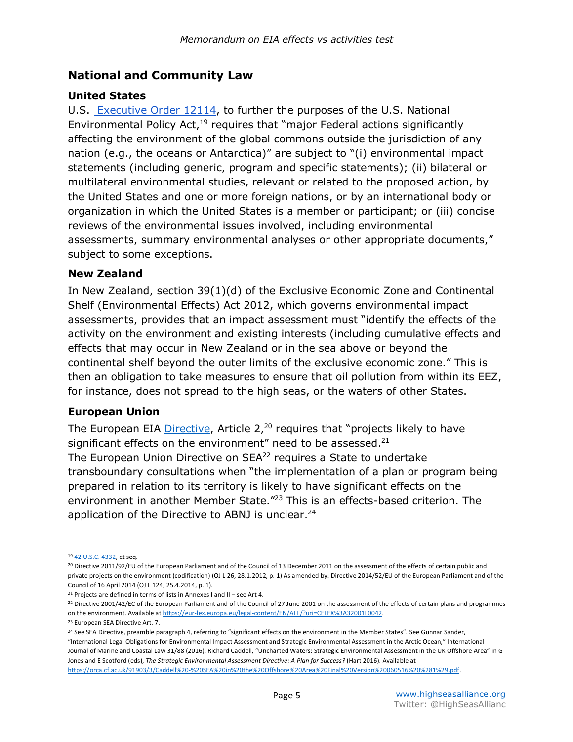# **National and Community Law**

#### **United States**

U.S. Executive Order 12114, to further the purposes of the U.S. National Environmental Policy Act,<sup>19</sup> requires that "major Federal actions significantly affecting the environment of the global commons outside the jurisdiction of any nation (e.g., the oceans or Antarctica)" are subject to "(i) environmental impact statements (including generic, program and specific statements); (ii) bilateral or multilateral environmental studies, relevant or related to the proposed action, by the United States and one or more foreign nations, or by an international body or organization in which the United States is a member or participant; or (iii) concise reviews of the environmental issues involved, including environmental assessments, summary environmental analyses or other appropriate documents," subject to some exceptions.

#### **New Zealand**

In New Zealand, section 39(1)(d) of the Exclusive Economic Zone and Continental Shelf (Environmental Effects) Act 2012, which governs environmental impact assessments, provides that an impact assessment must "identify the effects of the activity on the environment and existing interests (including cumulative effects and effects that may occur in New Zealand or in the sea above or beyond the continental shelf beyond the outer limits of the exclusive economic zone." This is then an obligation to take measures to ensure that oil pollution from within its EEZ, for instance, does not spread to the high seas, or the waters of other States.

#### **European Union**

The European EIA Directive, Article  $2<sup>20</sup>$  requires that "projects likely to have significant effects on the environment" need to be assessed.<sup>21</sup> The European Union Directive on SEA<sup>22</sup> requires a State to undertake transboundary consultations when "the implementation of a plan or program being prepared in relation to its territory is likely to have significant effects on the environment in another Member State."<sup>23</sup> This is an effects-based criterion. The application of the Directive to ABNJ is unclear.<sup>24</sup>

l

<sup>19</sup> 42 U.S.C. 4332, et seq.

<sup>&</sup>lt;sup>20</sup> Directive 2011/92/EU of the European Parliament and of the Council of 13 December 2011 on the assessment of the effects of certain public and private projects on the environment (codification) (OJ L 26, 28.1.2012, p. 1) As amended by: Directive 2014/52/EU of the European Parliament and of the Council of 16 April 2014 (OJ L 124, 25.4.2014, p. 1).

<sup>&</sup>lt;sup>21</sup> Projects are defined in terms of lists in Annexes I and II – see Art 4.

<sup>&</sup>lt;sup>22</sup> Directive 2001/42/EC of the European Parliament and of the Council of 27 June 2001 on the assessment of the effects of certain plans and programmes on the environment. Available at https://eur-lex.europa.eu/legal-content/EN/ALL/?uri=CELEX%3A32001L0042.

<sup>23</sup> European SEA Directive Art. 7.

<sup>&</sup>lt;sup>24</sup> See SEA Directive, preamble paragraph 4, referring to "significant effects on the environment in the Member States". See Gunnar Sander, "International Legal Obligations for Environmental Impact Assessment and Strategic Environmental Assessment in the Arctic Ocean," International

Journal of Marine and Coastal Law 31/88 (2016); Richard Caddell, "Uncharted Waters: Strategic Environmental Assessment in the UK Offshore Area" in G Jones and E Scotford (eds), *The Strategic Environmental Assessment Directive: A Plan for Success?* (Hart 2016). Available at https://orca.cf.ac.uk/91903/3/Caddell%20-%20SEA%20in%20the%20Offshore%20Area%20Final%20Version%20060516%20%281%29.pdf.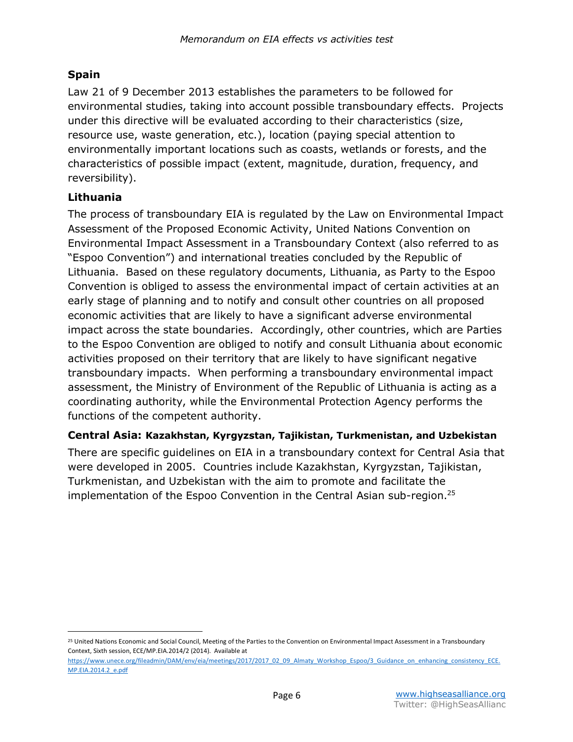#### **Spain**

Law 21 of 9 December 2013 establishes the parameters to be followed for environmental studies, taking into account possible transboundary effects. Projects under this directive will be evaluated according to their characteristics (size, resource use, waste generation, etc.), location (paying special attention to environmentally important locations such as coasts, wetlands or forests, and the characteristics of possible impact (extent, magnitude, duration, frequency, and reversibility).

# **Lithuania**

l

The process of transboundary EIA is regulated by the Law on Environmental Impact Assessment of the Proposed Economic Activity, United Nations Convention on Environmental Impact Assessment in a Transboundary Context (also referred to as "Espoo Convention") and international treaties concluded by the Republic of Lithuania. Based on these regulatory documents, Lithuania, as Party to the Espoo Convention is obliged to assess the environmental impact of certain activities at an early stage of planning and to notify and consult other countries on all proposed economic activities that are likely to have a significant adverse environmental impact across the state boundaries. Accordingly, other countries, which are Parties to the Espoo Convention are obliged to notify and consult Lithuania about economic activities proposed on their territory that are likely to have significant negative transboundary impacts. When performing a transboundary environmental impact assessment, the Ministry of Environment of the Republic of Lithuania is acting as a coordinating authority, while the Environmental Protection Agency performs the functions of the competent authority.

#### **Central Asia: Kazakhstan, Kyrgyzstan, Tajikistan, Turkmenistan, and Uzbekistan**

There are specific guidelines on EIA in a transboundary context for Central Asia that were developed in 2005. Countries include Kazakhstan, Kyrgyzstan, Tajikistan, Turkmenistan, and Uzbekistan with the aim to promote and facilitate the implementation of the Espoo Convention in the Central Asian sub-region.25

<sup>&</sup>lt;sup>25</sup> United Nations Economic and Social Council, Meeting of the Parties to the Convention on Environmental Impact Assessment in a Transboundary Context, Sixth session, ECE/MP.EIA.2014/2 (2014). Available at

https://www.unece.org/fileadmin/DAM/env/eia/meetings/2017/2017\_02\_09\_Almaty\_Workshop\_Espoo/3\_Guidance\_on\_enhancing\_consistency\_ECE. MP.EIA.2014.2\_e.pdf